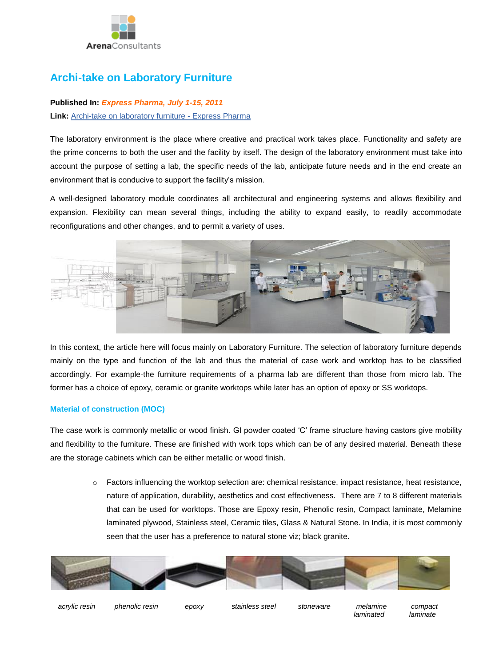

# **Archi-take on Laboratory Furniture**

## **Published In:** *Express Pharma, July 1-15, 2011* **Link:** [Archi-take on laboratory furniture -](http://archivepharma.financialexpress.com/20110715/market04.shtml) Express Pharma

The laboratory environment is the place where creative and practical work takes place. Functionality and safety are the prime concerns to both the user and the facility by itself. The design of the laboratory environment must take into account the purpose of setting a lab, the specific needs of the lab, anticipate future needs and in the end create an environment that is conducive to support the facility's mission.

A well-designed laboratory module coordinates all architectural and engineering systems and allows flexibility and expansion. Flexibility can mean several things, including the ability to expand easily, to readily accommodate reconfigurations and other changes, and to permit a variety of uses.



In this context, the article here will focus mainly on Laboratory Furniture. The selection of laboratory furniture depends mainly on the type and function of the lab and thus the material of case work and worktop has to be classified accordingly. For example-the furniture requirements of a pharma lab are different than those from micro lab. The former has a choice of epoxy, ceramic or granite worktops while later has an option of epoxy or SS worktops.

### **Material of construction (MOC)**

The case work is commonly metallic or wood finish. GI powder coated 'C' frame structure having castors give mobility and flexibility to the furniture. These are finished with work tops which can be of any desired material. Beneath these are the storage cabinets which can be either metallic or wood finish.

> o Factors influencing the worktop selection are: chemical resistance, impact resistance, heat resistance, nature of application, durability, aesthetics and cost effectiveness. There are 7 to 8 different materials that can be used for worktops. Those are Epoxy resin, Phenolic resin, Compact laminate, Melamine laminated plywood, Stainless steel, Ceramic tiles, Glass & Natural Stone. In India, it is most commonly seen that the user has a preference to natural stone viz; black granite.



 *acrylic resin phenolic resin epoxy stainless steel stoneware melamine compact* 

 *laminated laminate*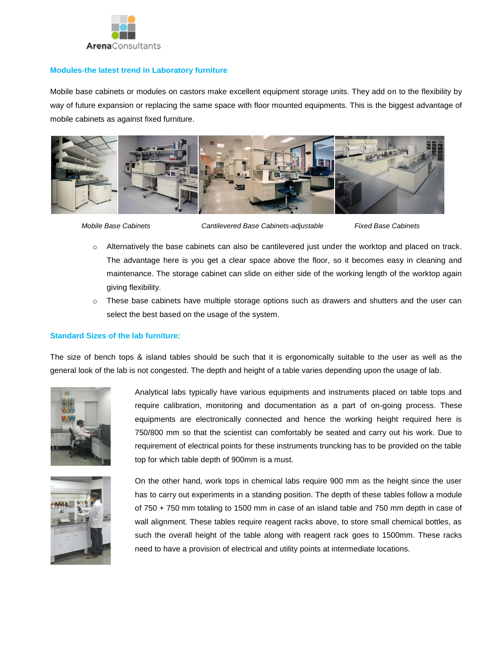

#### **Modules-the latest trend in Laboratory furniture**

Mobile base cabinets or modules on castors make excellent equipment storage units. They add on to the flexibility by way of future expansion or replacing the same space with floor mounted equipments. This is the biggest advantage of mobile cabinets as against fixed furniture.



 *Mobile Base Cabinets Cantilevered Base Cabinets-adjustable Fixed Base Cabinets*

- $\circ$  Alternatively the base cabinets can also be cantilevered just under the worktop and placed on track. The advantage here is you get a clear space above the floor, so it becomes easy in cleaning and maintenance. The storage cabinet can slide on either side of the working length of the worktop again giving flexibility.
- $\circ$  These base cabinets have multiple storage options such as drawers and shutters and the user can select the best based on the usage of the system.

#### **Standard Sizes of the lab furniture**:

The size of bench tops & island tables should be such that it is ergonomically suitable to the user as well as the general look of the lab is not congested. The depth and height of a table varies depending upon the usage of lab.



Analytical labs typically have various equipments and instruments placed on table tops and require calibration, monitoring and documentation as a part of on-going process. These equipments are electronically connected and hence the working height required here is 750/800 mm so that the scientist can comfortably be seated and carry out his work. Due to requirement of electrical points for these instruments truncking has to be provided on the table top for which table depth of 900mm is a must.



On the other hand, work tops in chemical labs require 900 mm as the height since the user has to carry out experiments in a standing position. The depth of these tables follow a module of 750 + 750 mm totaling to 1500 mm in case of an island table and 750 mm depth in case of wall alignment. These tables require reagent racks above, to store small chemical bottles, as such the overall height of the table along with reagent rack goes to 1500mm. These racks need to have a provision of electrical and utility points at intermediate locations.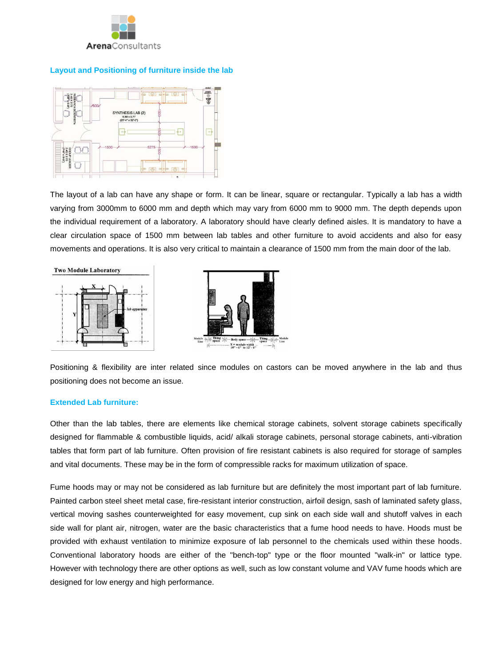

#### **Layout and Positioning of furniture inside the lab**



The layout of a lab can have any shape or form. It can be linear, square or rectangular. Typically a lab has a width varying from 3000mm to 6000 mm and depth which may vary from 6000 mm to 9000 mm. The depth depends upon the individual requirement of a laboratory. A laboratory should have clearly defined aisles. It is mandatory to have a clear circulation space of 1500 mm between lab tables and other furniture to avoid accidents and also for easy movements and operations. It is also very critical to maintain a clearance of 1500 mm from the main door of the lab.





Positioning & flexibility are inter related since modules on castors can be moved anywhere in the lab and thus positioning does not become an issue.

#### **Extended Lab furniture:**

Other than the lab tables, there are elements like chemical storage cabinets, solvent storage cabinets specifically designed for flammable & combustible liquids, acid/ alkali storage cabinets, personal storage cabinets, anti-vibration tables that form part of lab furniture. Often provision of fire resistant cabinets is also required for storage of samples and vital documents. These may be in the form of compressible racks for maximum utilization of space.

Fume hoods may or may not be considered as lab furniture but are definitely the most important part of lab furniture. Painted carbon steel sheet metal case, fire-resistant interior construction, airfoil design, sash of laminated safety glass, vertical moving sashes counterweighted for easy movement, cup sink on each side wall and shutoff valves in each side wall for plant air, nitrogen, water are the basic characteristics that a fume hood needs to have. Hoods must be provided with exhaust ventilation to minimize exposure of lab personnel to the chemicals used within these hoods. Conventional laboratory hoods are either of the "bench-top" type or the floor mounted "walk-in" or lattice type. However with technology there are other options as well, such as low constant volume and VAV fume hoods which are designed for low energy and high performance.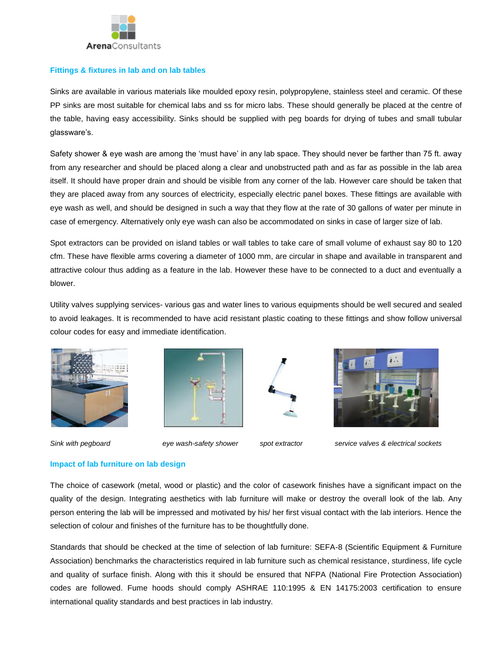

#### **Fittings & fixtures in lab and on lab tables**

Sinks are available in various materials like moulded epoxy resin, polypropylene, stainless steel and ceramic. Of these PP sinks are most suitable for chemical labs and ss for micro labs. These should generally be placed at the centre of the table, having easy accessibility. Sinks should be supplied with peg boards for drying of tubes and small tubular glassware's.

Safety shower & eye wash are among the 'must have' in any lab space. They should never be farther than 75 ft. away from any researcher and should be placed along a clear and unobstructed path and as far as possible in the lab area itself. It should have proper drain and should be visible from any corner of the lab. However care should be taken that they are placed away from any sources of electricity, especially electric panel boxes. These fittings are available with eye wash as well, and should be designed in such a way that they flow at the rate of 30 gallons of water per minute in case of emergency. Alternatively only eye wash can also be accommodated on sinks in case of larger size of lab.

Spot extractors can be provided on island tables or wall tables to take care of small volume of exhaust say 80 to 120 cfm. These have flexible arms covering a diameter of 1000 mm, are circular in shape and available in transparent and attractive colour thus adding as a feature in the lab. However these have to be connected to a duct and eventually a blower.

Utility valves supplying services- various gas and water lines to various equipments should be well secured and sealed to avoid leakages. It is recommended to have acid resistant plastic coating to these fittings and show follow universal colour codes for easy and immediate identification.









*Sink with pegboard eye wash-safety shower spot extractor service valves & electrical sockets*

### **Impact of lab furniture on lab design**

The choice of casework (metal, wood or plastic) and the color of casework finishes have a significant impact on the quality of the design. Integrating aesthetics with lab furniture will make or destroy the overall look of the lab. Any person entering the lab will be impressed and motivated by his/ her first visual contact with the lab interiors. Hence the selection of colour and finishes of the furniture has to be thoughtfully done.

Standards that should be checked at the time of selection of lab furniture: SEFA-8 (Scientific Equipment & Furniture Association) benchmarks the characteristics required in lab furniture such as chemical resistance, sturdiness, life cycle and quality of surface finish. Along with this it should be ensured that NFPA (National Fire Protection Association) codes are followed. Fume hoods should comply ASHRAE 110:1995 & EN 14175:2003 certification to ensure international quality standards and best practices in lab industry.